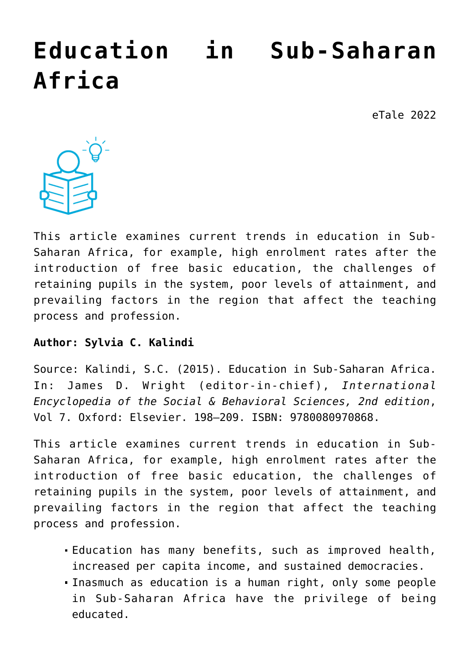# **[Education in Sub-Saharan](https://dev.taleafrica.com/2020/11/30/education-in-sub-saharan-africa/) [Africa](https://dev.taleafrica.com/2020/11/30/education-in-sub-saharan-africa/)**

eTale 2022



This article examines current trends in education in Sub-Saharan Africa, for example, high enrolment rates after the introduction of free basic education, the challenges of retaining pupils in the system, poor levels of attainment, and prevailing factors in the region that affect the teaching process and profession.

#### **Author: Sylvia C. Kalindi**

Source: Kalindi, S.C. (2015). Education in Sub-Saharan Africa. In: James D. Wright (editor-in-chief), *International Encyclopedia of the Social & Behavioral Sciences, 2nd edition*, Vol 7. Oxford: Elsevier. 198–209. ISBN: 9780080970868.

This article examines current trends in education in Sub-Saharan Africa, for example, high enrolment rates after the introduction of free basic education, the challenges of retaining pupils in the system, poor levels of attainment, and prevailing factors in the region that affect the teaching process and profession.

- Education has many benefits, such as improved health, increased per capita income, and sustained democracies.
- Inasmuch as education is a human right, only some people in Sub-Saharan Africa have the privilege of being educated.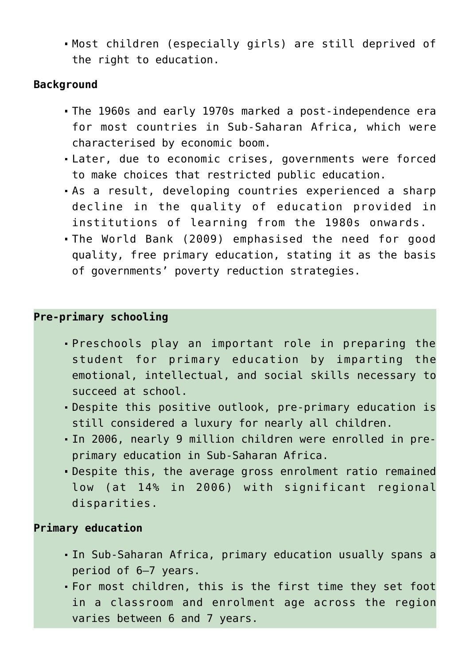Most children (especially girls) are still deprived of the right to education.

## **Background**

- The 1960s and early 1970s marked a post-independence era for most countries in Sub-Saharan Africa, which were characterised by economic boom.
- Later, due to economic crises, governments were forced to make choices that restricted public education.
- As a result, developing countries experienced a sharp decline in the quality of education provided in institutions of learning from the 1980s onwards.
- The World Bank (2009) emphasised the need for good quality, free primary education, stating it as the basis of governments' poverty reduction strategies.

# **Pre-primary schooling**

- Preschools play an important role in preparing the student for primary education by imparting the emotional, intellectual, and social skills necessary to succeed at school.
- Despite this positive outlook, pre-primary education is still considered a luxury for nearly all children.
- In 2006, nearly 9 million children were enrolled in preprimary education in Sub-Saharan Africa.
- Despite this, the average gross enrolment ratio remained low (at 14% in 2006) with significant regional disparities.

## **Primary education**

- In Sub-Saharan Africa, primary education usually spans a period of 6–7 years.
- For most children, this is the first time they set foot in a classroom and enrolment age across the region varies between 6 and 7 years.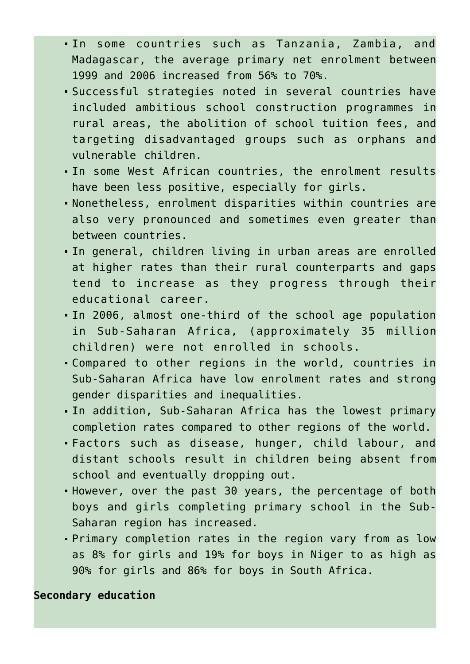- In some countries such as Tanzania, Zambia, and Madagascar, the average primary net enrolment between 1999 and 2006 increased from 56% to 70%.
- Successful strategies noted in several countries have included ambitious school construction programmes in rural areas, the abolition of school tuition fees, and targeting disadvantaged groups such as orphans and vulnerable children.
- In some West African countries, the enrolment results have been less positive, especially for girls.
- Nonetheless, enrolment disparities within countries are also very pronounced and sometimes even greater than between countries.
- In general, children living in urban areas are enrolled at higher rates than their rural counterparts and gaps tend to increase as they progress through their educational career.
- In 2006, almost one-third of the school age population in Sub-Saharan Africa, (approximately 35 million children) were not enrolled in schools.
- Compared to other regions in the world, countries in Sub-Saharan Africa have low enrolment rates and strong gender disparities and inequalities.
- In addition, Sub-Saharan Africa has the lowest primary completion rates compared to other regions of the world.
- Factors such as disease, hunger, child labour, and distant schools result in children being absent from school and eventually dropping out.
- However, over the past 30 years, the percentage of both boys and girls completing primary school in the Sub-Saharan region has increased.
- Primary completion rates in the region vary from as low as 8% for girls and 19% for boys in Niger to as high as 90% for girls and 86% for boys in South Africa.

## **Secondary education**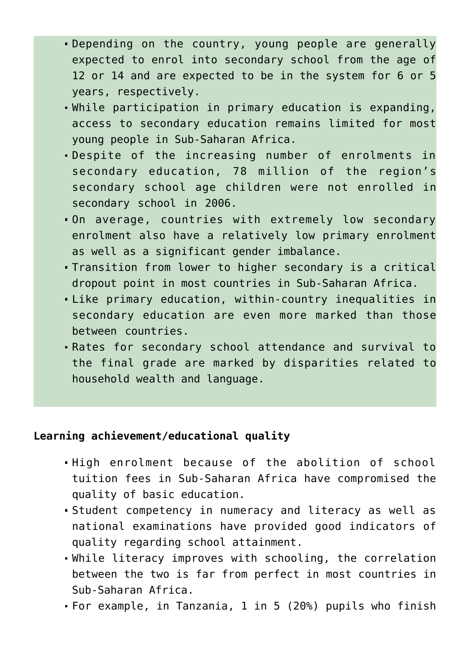- Depending on the country, young people are generally expected to enrol into secondary school from the age of 12 or 14 and are expected to be in the system for 6 or 5 years, respectively.
- While participation in primary education is expanding, access to secondary education remains limited for most young people in Sub-Saharan Africa.
- Despite of the increasing number of enrolments in secondary education, 78 million of the region's secondary school age children were not enrolled in secondary school in 2006.
- On average, countries with extremely low secondary enrolment also have a relatively low primary enrolment as well as a significant gender imbalance.
- Transition from lower to higher secondary is a critical dropout point in most countries in Sub-Saharan Africa.
- Like primary education, within-country inequalities in secondary education are even more marked than those between countries.
- Rates for secondary school attendance and survival to the final grade are marked by disparities related to household wealth and language.

#### **Learning achievement/educational quality**

- High enrolment because of the abolition of school tuition fees in Sub-Saharan Africa have compromised the quality of basic education.
- Student competency in numeracy and literacy as well as national examinations have provided good indicators of quality regarding school attainment.
- While literacy improves with schooling, the correlation between the two is far from perfect in most countries in Sub-Saharan Africa.
- For example, in Tanzania, 1 in 5 (20%) pupils who finish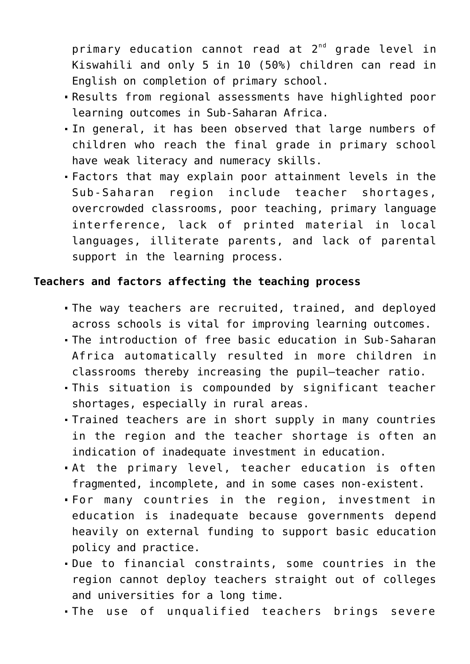primary education cannot read at 2<sup>nd</sup> grade level in Kiswahili and only 5 in 10 (50%) children can read in English on completion of primary school.

- Results from regional assessments have highlighted poor learning outcomes in Sub-Saharan Africa.
- In general, it has been observed that large numbers of children who reach the final grade in primary school have weak literacy and numeracy skills.
- Factors that may explain poor attainment levels in the Sub-Saharan region include teacher shortages, overcrowded classrooms, poor teaching, primary language interference, lack of printed material in local languages, illiterate parents, and lack of parental support in the learning process.

## **Teachers and factors affecting the teaching process**

- The way teachers are recruited, trained, and deployed across schools is vital for improving learning outcomes.
- The introduction of free basic education in Sub-Saharan Africa automatically resulted in more children in classrooms thereby increasing the pupil–teacher ratio.
- This situation is compounded by significant teacher shortages, especially in rural areas.
- Trained teachers are in short supply in many countries in the region and the teacher shortage is often an indication of inadequate investment in education.
- At the primary level, teacher education is often fragmented, incomplete, and in some cases non-existent.
- For many countries in the region, investment in education is inadequate because governments depend heavily on external funding to support basic education policy and practice.
- Due to financial constraints, some countries in the region cannot deploy teachers straight out of colleges and universities for a long time.
- The use of unqualified teachers brings severe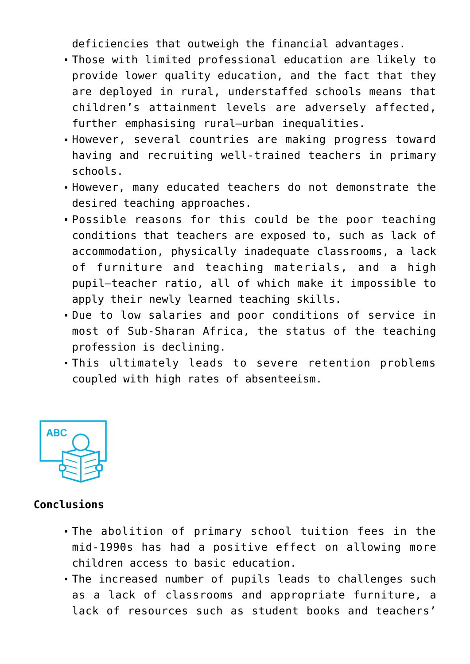deficiencies that outweigh the financial advantages.

- Those with limited professional education are likely to provide lower quality education, and the fact that they are deployed in rural, understaffed schools means that children's attainment levels are adversely affected, further emphasising rural–urban inequalities.
- However, several countries are making progress toward having and recruiting well-trained teachers in primary schools.
- However, many educated teachers do not demonstrate the desired teaching approaches.
- Possible reasons for this could be the poor teaching conditions that teachers are exposed to, such as lack of accommodation, physically inadequate classrooms, a lack of furniture and teaching materials, and a high pupil–teacher ratio, all of which make it impossible to apply their newly learned teaching skills.
- Due to low salaries and poor conditions of service in most of Sub-Sharan Africa, the status of the teaching profession is declining.
- This ultimately leads to severe retention problems coupled with high rates of absenteeism.



# **Conclusions**

- The abolition of primary school tuition fees in the mid-1990s has had a positive effect on allowing more children access to basic education.
- The increased number of pupils leads to challenges such as a lack of classrooms and appropriate furniture, a lack of resources such as student books and teachers'